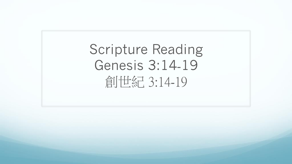Scripture Reading Genesis 3:14-19 倉 士紀 3:14-19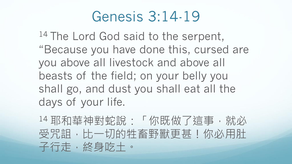14 The Lord God said to the serpent, "Because you have done this, cursed are you above all livestock and above all beasts of the field; on your belly you shall go, and dust you shall eat all the days of your life.

<sup>14</sup> 耶和華神對蛇說:「你既做了這事,就必 受咒詛,比一切的牲畜野獸更甚!你必用肚 子行走,終身吃土。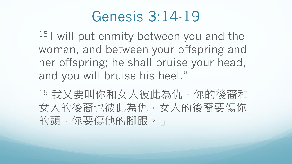<sup>15</sup> I will put enmity between you and the woman, and between your offspring and her offspring; he shall bruise your head, and you will bruise his heel."

15 我又要叫你和女人彼此為仇,你的後裔和 女人的後裔也彼此為仇,女人的後裔要傷你 的頭,你要傷他的腳跟。」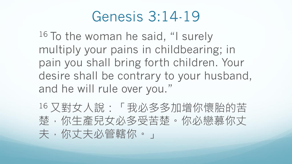16 To the woman he said, "I surely multiply your pains in childbearing; in pain you shall bring forth children. Your desire shall be contrary to your husband, and he will rule over you."

<sup>16</sup> 又對女人說:「我必多多加增你懷胎的苦 楚,你生產兒女必多受苦楚。你必戀慕你丈 夫,你丈夫必管轄你。」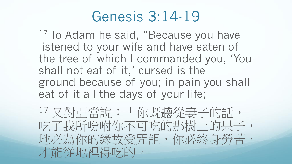<sup>17</sup> To Adam he said, "Because you have listened to your wife and have eaten of the tree of which I commanded you, 'You shall not eat of it,' cursed is the ground because of you; in pain you shall eat of it all the days of your life;

<sup>17</sup> 又對亞當說:「你既聽從妻子的話, 吃了我所吩咐你不可吃的那樹上的果子, 地必為你的緣故受咒詛,你必終身勞苦, 才能從地裡得吃的。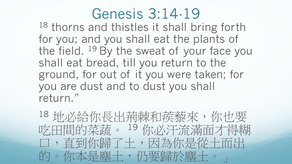18 thorns and thistles it shall bring forth for you; and you shall eat the plants of the field. <sup>19</sup> By the sweat of your face you shall eat bread, till you return to the ground, for out of it you were taken; for you are dust and to dust you shall return."

<sup>18</sup> 地必給你長出荊棘和蒺藜來,你也要 吃田間的菜蔬。 <sup>19</sup> 你必汗流滿面才得糊 口,直到你歸了土,因為你是從土而出 的。你本是塵土,仍要歸於塵土。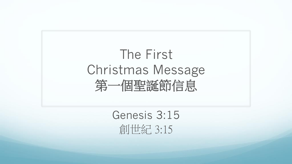# The First Christmas Message 第一個聖誕節信息

Genesis 3:15 創世紀 3:15